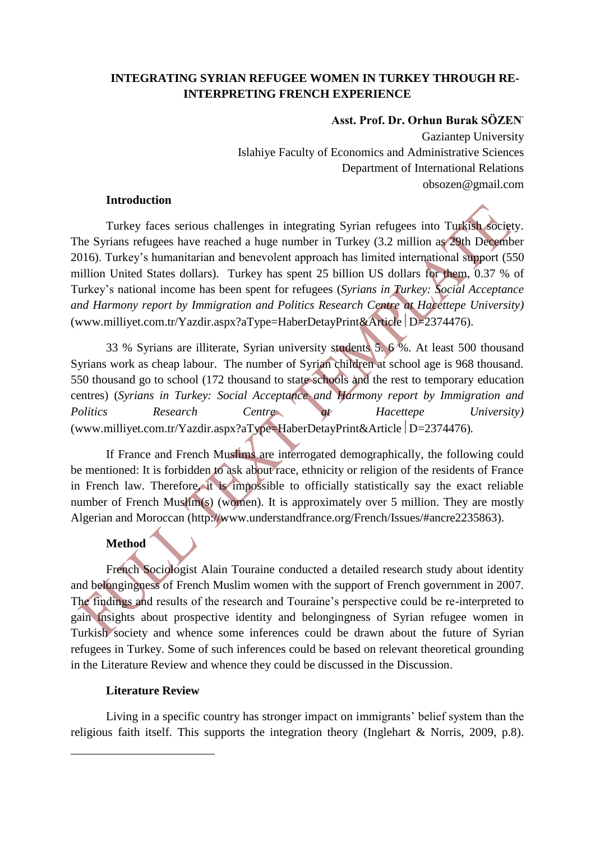# **INTEGRATING SYRIAN REFUGEE WOMEN IN TURKEY THROUGH RE-INTERPRETING FRENCH EXPERIENCE**

## **Asst. Prof. Dr. Orhun Burak SÖZEN**

Gaziantep University Islahiye Faculty of Economics and Administrative Sciences Department of International Relations obsozen@gmail.com

### **Introduction**

Turkey faces serious challenges in integrating Syrian refugees into Turkish society. The Syrians refugees have reached a huge number in Turkey (3.2 million as 29th December 2016). Turkey's humanitarian and benevolent approach has limited international support (550 million United States dollars). Turkey has spent 25 billion US dollars for them, 0.37 % of Turkey's national income has been spent for refugees (*Syrians in Turkey: Social Acceptance and Harmony report by Immigration and Politics Research Centre at Hacettepe University)* (www.milliyet.com.tr/Yazdir.aspx?aType=HaberDetayPrint&Article  $D=2374476$ ).

33 % Syrians are illiterate, Syrian university students 5. 6 %. At least 500 thousand Syrians work as cheap labour. The number of Syrian children at school age is 968 thousand. 550 thousand go to school (172 thousand to state schools and the rest to temporary education centres) (*Syrians in Turkey: Social Acceptance and Harmony report by Immigration and Politics Research Centre at Hacettepe University)* (www.milliyet.com.tr/Yazdir.aspx?aType=HaberDetayPrint&Article D=2374476).

If France and French Muslims are interrogated demographically, the following could be mentioned: It is forbidden to ask about race, ethnicity or religion of the residents of France in French law. Therefore, it is impossible to officially statistically say the exact reliable number of French Muslim(s) (women). It is approximately over 5 million. They are mostly Algerian and Moroccan [\(http://www.understandfrance.org/French/Issues/#ancre2235863\)](http://www.understandfrance.org/French/Issues/).

# **Method**

French Sociologist Alain Touraine conducted a detailed research study about identity and belongingness of French Muslim women with the support of French government in 2007. The findings and results of the research and Touraine's perspective could be re-interpreted to gain insights about prospective identity and belongingness of Syrian refugee women in Turkish society and whence some inferences could be drawn about the future of Syrian refugees in Turkey. Some of such inferences could be based on relevant theoretical grounding in the Literature Review and whence they could be discussed in the Discussion.

## **Literature Review**

1

Living in a specific country has stronger impact on immigrants' belief system than the religious faith itself. This supports the integration theory (Inglehart & Norris, 2009, p.8).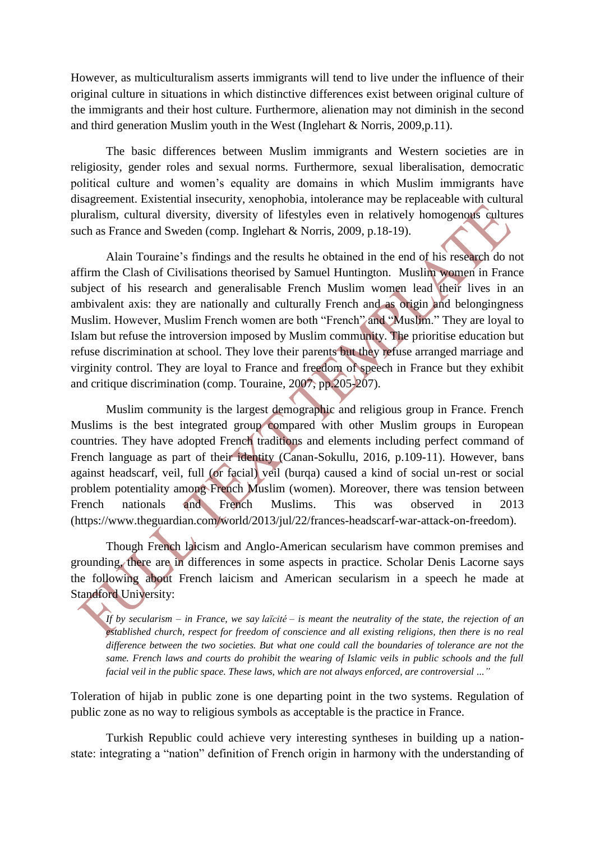However, as multiculturalism asserts immigrants will tend to live under the influence of their original culture in situations in which distinctive differences exist between original culture of the immigrants and their host culture. Furthermore, alienation may not diminish in the second and third generation Muslim youth in the West (Inglehart & Norris, 2009,p.11).

The basic differences between Muslim immigrants and Western societies are in religiosity, gender roles and sexual norms. Furthermore, sexual liberalisation, democratic political culture and women's equality are domains in which Muslim immigrants have disagreement. Existential insecurity, xenophobia, intolerance may be replaceable with cultural pluralism, cultural diversity, diversity of lifestyles even in relatively homogenous cultures such as France and Sweden (comp. Inglehart & Norris, 2009, p.18-19).

Alain Touraine's findings and the results he obtained in the end of his research do not affirm the Clash of Civilisations theorised by Samuel Huntington. Muslim women in France subject of his research and generalisable French Muslim women lead their lives in an ambivalent axis: they are nationally and culturally French and as origin and belongingness Muslim. However, Muslim French women are both "French" and "Muslim." They are loyal to Islam but refuse the introversion imposed by Muslim community. The prioritise education but refuse discrimination at school. They love their parents but they refuse arranged marriage and virginity control. They are loyal to France and freedom of speech in France but they exhibit and critique discrimination (comp. Touraine, 2007, pp.205-207).

Muslim community is the largest demographic and religious group in France. French Muslims is the best integrated group compared with other Muslim groups in European countries. They have adopted French traditions and elements including perfect command of French language as part of their identity (Canan-Sokullu, 2016, p.109-11). However, bans against headscarf, veil, full (or facial) veil (burqa) caused a kind of social un-rest or social problem potentiality among French Muslim (women). Moreover, there was tension between French nationals and French Muslims. This was observed in 2013 (https://www.theguardian.com/world/2013/jul/22/frances-headscarf-war-attack-on-freedom).

Though French laicism and Anglo-American secularism have common premises and grounding, there are in differences in some aspects in practice. Scholar Denis Lacorne says the following about French laicism and American secularism in a speech he made at Standford University:

*If by secularism – in France, we say laïcité – is meant the neutrality of the state, the rejection of an established church, respect for freedom of conscience and all existing religions, then there is no real difference between the two societies. But what one could call the boundaries of tolerance are not the same. French laws and courts do prohibit the wearing of Islamic veils in public schools and the full facial veil in the public space. These laws, which are not always enforced, are controversial ..."*

Toleration of hijab in public zone is one departing point in the two systems. Regulation of public zone as no way to religious symbols as acceptable is the practice in France.

Turkish Republic could achieve very interesting syntheses in building up a nationstate: integrating a "nation" definition of French origin in harmony with the understanding of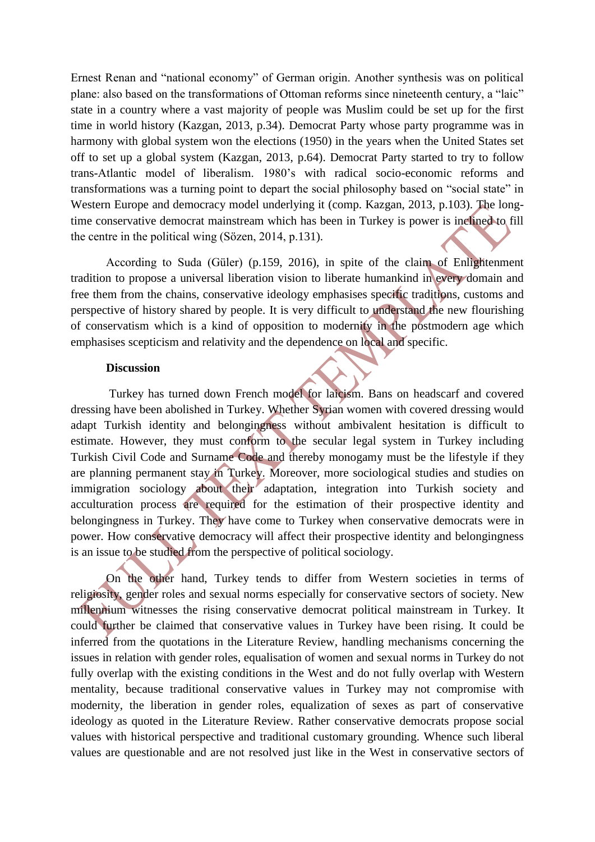Ernest Renan and "national economy" of German origin. Another synthesis was on political plane: also based on the transformations of Ottoman reforms since nineteenth century, a "laic" state in a country where a vast majority of people was Muslim could be set up for the first time in world history (Kazgan, 2013, p.34). Democrat Party whose party programme was in harmony with global system won the elections (1950) in the years when the United States set off to set up a global system (Kazgan, 2013, p.64). Democrat Party started to try to follow trans-Atlantic model of liberalism. 1980's with radical socio-economic reforms and transformations was a turning point to depart the social philosophy based on "social state" in Western Europe and democracy model underlying it (comp. Kazgan, 2013, p.103). The longtime conservative democrat mainstream which has been in Turkey is power is inclined to fill the centre in the political wing (Sözen, 2014, p.131).

According to Suda (Güler) (p.159, 2016), in spite of the claim of Enlightenment tradition to propose a universal liberation vision to liberate humankind in every domain and free them from the chains, conservative ideology emphasises specific traditions, customs and perspective of history shared by people. It is very difficult to understand the new flourishing of conservatism which is a kind of opposition to modernity in the postmodern age which emphasises scepticism and relativity and the dependence on local and specific.

#### **Discussion**

Turkey has turned down French model for laicism. Bans on headscarf and covered dressing have been abolished in Turkey. Whether Syrian women with covered dressing would adapt Turkish identity and belongingness without ambivalent hesitation is difficult to estimate. However, they must conform to the secular legal system in Turkey including Turkish Civil Code and Surname Code and thereby monogamy must be the lifestyle if they are planning permanent stay in Turkey. Moreover, more sociological studies and studies on immigration sociology about their adaptation, integration into Turkish society and acculturation process are required for the estimation of their prospective identity and belongingness in Turkey. They have come to Turkey when conservative democrats were in power. How conservative democracy will affect their prospective identity and belongingness is an issue to be studied from the perspective of political sociology.

On the other hand, Turkey tends to differ from Western societies in terms of religiosity, gender roles and sexual norms especially for conservative sectors of society. New millennium witnesses the rising conservative democrat political mainstream in Turkey. It could further be claimed that conservative values in Turkey have been rising. It could be inferred from the quotations in the Literature Review, handling mechanisms concerning the issues in relation with gender roles, equalisation of women and sexual norms in Turkey do not fully overlap with the existing conditions in the West and do not fully overlap with Western mentality, because traditional conservative values in Turkey may not compromise with modernity, the liberation in gender roles, equalization of sexes as part of conservative ideology as quoted in the Literature Review. Rather conservative democrats propose social values with historical perspective and traditional customary grounding. Whence such liberal values are questionable and are not resolved just like in the West in conservative sectors of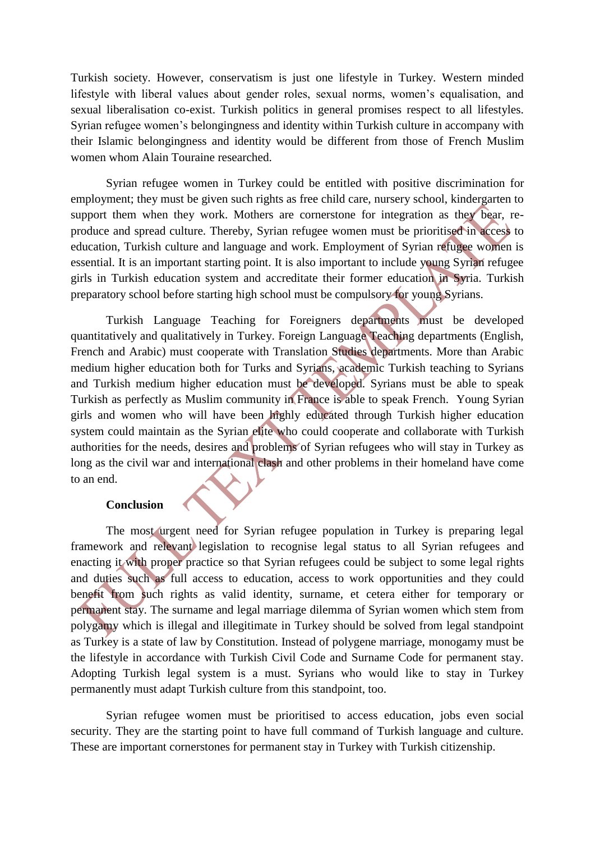Turkish society. However, conservatism is just one lifestyle in Turkey. Western minded lifestyle with liberal values about gender roles, sexual norms, women's equalisation, and sexual liberalisation co-exist. Turkish politics in general promises respect to all lifestyles. Syrian refugee women's belongingness and identity within Turkish culture in accompany with their Islamic belongingness and identity would be different from those of French Muslim women whom Alain Touraine researched.

Syrian refugee women in Turkey could be entitled with positive discrimination for employment; they must be given such rights as free child care, nursery school, kindergarten to support them when they work. Mothers are cornerstone for integration as they bear, reproduce and spread culture. Thereby, Syrian refugee women must be prioritised in access to education, Turkish culture and language and work. Employment of Syrian refugee women is essential. It is an important starting point. It is also important to include young Syrian refugee girls in Turkish education system and accreditate their former education in Syria. Turkish preparatory school before starting high school must be compulsory for young Syrians.

Turkish Language Teaching for Foreigners departments must be developed quantitatively and qualitatively in Turkey. Foreign Language Teaching departments (English, French and Arabic) must cooperate with Translation Studies departments. More than Arabic medium higher education both for Turks and Syrians, academic Turkish teaching to Syrians and Turkish medium higher education must be developed. Syrians must be able to speak Turkish as perfectly as Muslim community in France is able to speak French. Young Syrian girls and women who will have been highly educated through Turkish higher education system could maintain as the Syrian elite who could cooperate and collaborate with Turkish authorities for the needs, desires and problems of Syrian refugees who will stay in Turkey as long as the civil war and international clash and other problems in their homeland have come to an end.

#### **Conclusion**

The most urgent need for Syrian refugee population in Turkey is preparing legal framework and relevant legislation to recognise legal status to all Syrian refugees and enacting it with proper practice so that Syrian refugees could be subject to some legal rights and duties such as full access to education, access to work opportunities and they could benefit from such rights as valid identity, surname, et cetera either for temporary or permanent stay. The surname and legal marriage dilemma of Syrian women which stem from polygamy which is illegal and illegitimate in Turkey should be solved from legal standpoint as Turkey is a state of law by Constitution. Instead of polygene marriage, monogamy must be the lifestyle in accordance with Turkish Civil Code and Surname Code for permanent stay. Adopting Turkish legal system is a must. Syrians who would like to stay in Turkey permanently must adapt Turkish culture from this standpoint, too.

Syrian refugee women must be prioritised to access education, jobs even social security. They are the starting point to have full command of Turkish language and culture. These are important cornerstones for permanent stay in Turkey with Turkish citizenship.